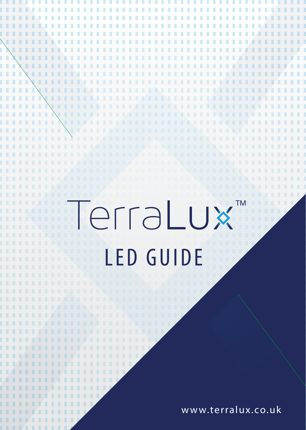## erraLux  $\blacksquare$  TM LED GUIDE

п

.....................

n n п ш п л п

**BELLELLELLER DE LA LIGITATION MILLILLI 2011 MILL** 

ш ..............

п

ш

п п

n m

n m

n m

n a

n. **TELES** . . . .

**TELE** 

**. . . .** 

. . . . n a fill п LA B

. . . . . . . . . . . . . . . . . . . . . . . . . . . . . . . . . . . .

л ш

в п

..........

. . . . . . . .

п п

٠

**TA** 

. . .

**THE** 

www.terralux.co.uk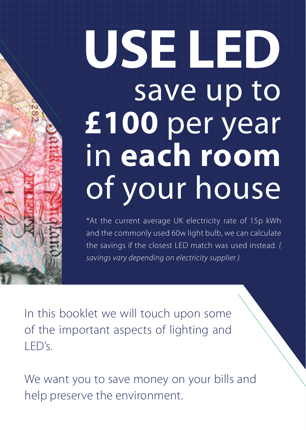# **USE LED** save up to **£100** per year in **each room** of your house

\*At the current average UK electricity rate of 15p kWh and the commonly used 60w light bulb, we can calculate the savings if the closest LED match was used instead. *( savings vary depending on electricity supplier )*

In this booklet we will touch upon some of the important aspects of lighting and LED's.

We want you to save money on your bills and help preserve the environment.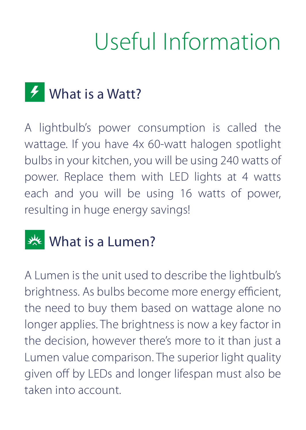## Useful Information

### **F** What is a Watt?

A lightbulb's power consumption is called the wattage. If you have 4x 60-watt halogen spotlight bulbs in your kitchen, you will be using 240 watts of power. Replace them with LED lights at 4 watts each and you will be using 16 watts of power, resulting in huge energy savings!

### What is a Lumen?

A Lumen is the unit used to describe the lightbulb's brightness. As bulbs become more energy efficient, the need to buy them based on wattage alone no longer applies. The brightness is now a key factor in the decision, however there's more to it than just a Lumen value comparison. The superior light quality given off by LEDs and longer lifespan must also be taken into account.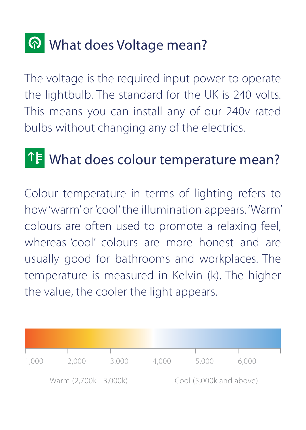### **P** What does Voltage mean?

The voltage is the required input power to operate the lightbulb. The standard for the UK is 240 volts. This means you can install any of our 240v rated bulbs without changing any of the electrics.

### **1.4** What does colour temperature mean?

Colour temperature in terms of lighting refers to how 'warm' or 'cool' the illumination appears. 'Warm' colours are often used to promote a relaxing feel, whereas 'cool' colours are more honest and are usually good for bathrooms and workplaces. The temperature is measured in Kelvin (k). The higher the value, the cooler the light appears.

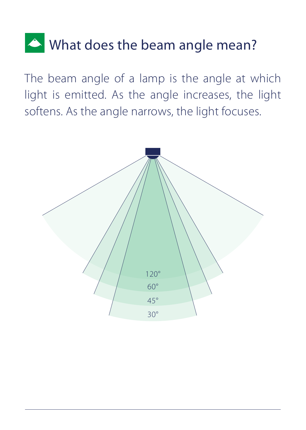### What does the beam angle mean?

The beam angle of a lamp is the angle at which light is emitted. As the angle increases, the light softens. As the angle narrows, the light focuses.

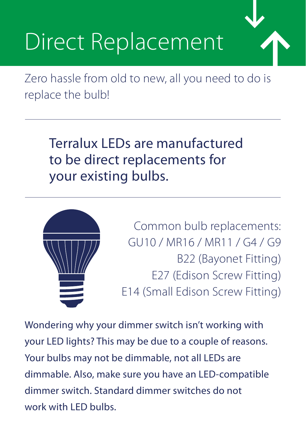# Direct Replacement

Zero hassle from old to new, all you need to do is replace the bulb!

Terralux LEDs are manufactured to be direct replacements for your existing bulbs.



Common bulb replacements: GU10 / MR16 / MR11 / G4 / G9 B22 (Bayonet Fitting) E27 (Edison Screw Fitting) E14 (Small Edison Screw Fitting)

Wondering why your dimmer switch isn't working with your LED lights? This may be due to a couple of reasons. Your bulbs may not be dimmable, not all LEDs are dimmable. Also, make sure you have an LED-compatible dimmer switch. Standard dimmer switches do not work with LED bulbs.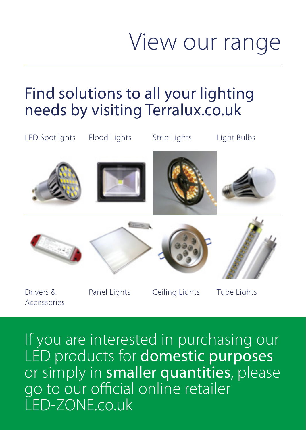### View our range

### Find solutions to all your lighting needs by visiting Terralux.co.uk



If you are interested in purchasing our LED products for **domestic purposes** or simply in smaller quantities, please go to our official online retailer LED-ZONE.co.uk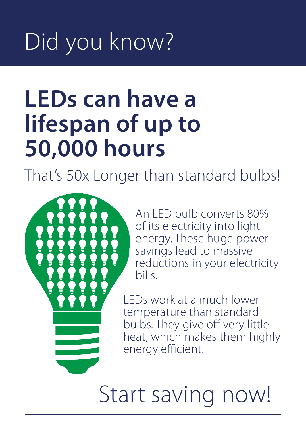# Did you know?

## **LEDs can have a lifespan of up to 50,000 hours**

That's 50x Longer than standard bulbs!



An LED bulb converts 80% of its electricity into light energy. These huge power savings lead to massive reductions in your electricity bills.

LEDs work at a much lower temperature than standard bulbs. They give off very little heat, which makes them highly energy efficient.

Start saving now!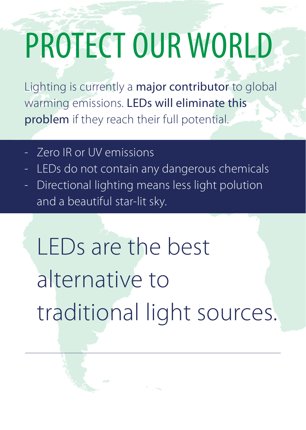# PROTECT OUR WORLD

Lighting is currently a major contributor to global warming emissions. LEDs will eliminate this problem if they reach their full potential.

- Zero IR or UV emissions
- LEDs do not contain any dangerous chemicals
- Directional lighting means less light polution and a beautiful star-lit sky.

LEDs are the best alternative to traditional light sources.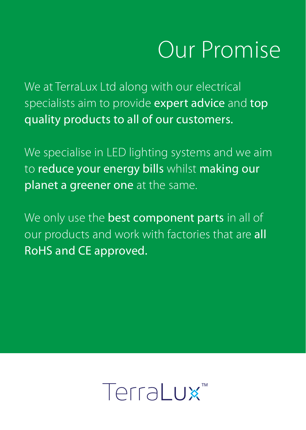## Our Promise

We at TerraLux Ltd along with our electrical specialists aim to provide expert advice and top quality products to all of our customers.

We specialise in LED lighting systems and we aim to reduce your energy bills whilst making our planet a greener one at the same.

We only use the **best component parts** in all of our products and work with factories that are all RoHS and CE approved.

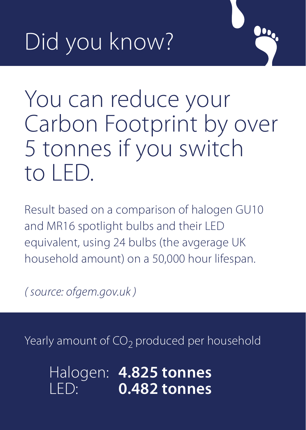# Did you know?

You can reduce your Carbon Footprint by over 5 tonnes if you switch to LED.

Result based on a comparison of halogen GU10 and MR16 spotlight bulbs and their LED equivalent, using 24 bulbs (the avgerage UK household amount) on a 50,000 hour lifespan.

*( source: ofgem.gov.uk )*

Yearly amount of  $CO<sub>2</sub>$  produced per household

Halogen: **4.825 tonnes** LED: **0.482 tonnes**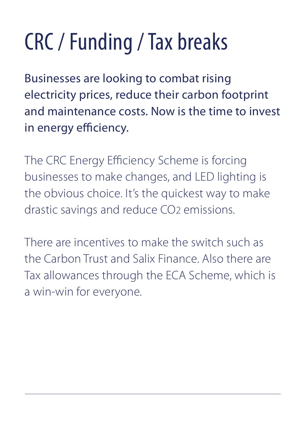# CRC / Funding / Tax breaks

Businesses are looking to combat rising electricity prices, reduce their carbon footprint and maintenance costs. Now is the time to invest in energy efficiency.

The CRC Energy Efficiency Scheme is forcing businesses to make changes, and LED lighting is the obvious choice. It's the quickest way to make drastic savings and reduce CO2 emissions.

There are incentives to make the switch such as the Carbon Trust and Salix Finance. Also there are Tax allowances through the ECA Scheme, which is a win-win for everyone.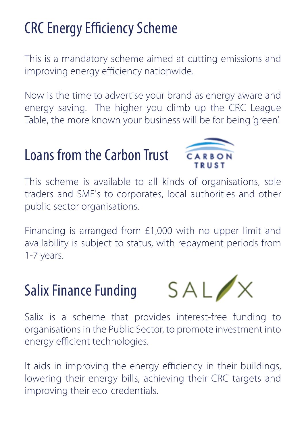### **CRC Energy Efficiency Scheme**

This is a mandatory scheme aimed at cutting emissions and improving energy efficiency nationwide.

Now is the time to advertise your brand as energy aware and energy saving. The higher you climb up the CRC League Table, the more known your business will be for being 'green'.

### Loans from the Carbon Trust



This scheme is available to all kinds of organisations, sole traders and SME's to corporates, local authorities and other public sector organisations.

Financing is arranged from £1,000 with no upper limit and availability is subject to status, with repayment periods from 1-7 years.

#### Salix Finance Funding



Salix is a scheme that provides interest-free funding to organisations in the Public Sector, to promote investment into energy efficient technologies.

It aids in improving the energy efficiency in their buildings, lowering their energy bills, achieving their CRC targets and improving their eco-credentials.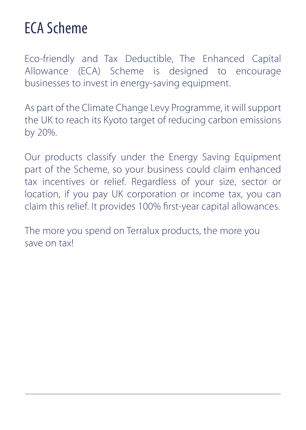### ECA Scheme

Eco-friendly and Tax Deductible, The Enhanced Capital Allowance (ECA) Scheme is designed to encourage businesses to invest in energy-saving equipment.

As part of the Climate Change Levy Programme, it will support the UK to reach its Kyoto target of reducing carbon emissions by 20%.

Our products classify under the Energy Saving Equipment part of the Scheme, so your business could claim enhanced tax incentives or relief. Regardless of your size, sector or location, if you pay UK corporation or income tax, you can claim this relief. It provides 100% first-year capital allowances.

The more you spend on Terralux products, the more you save on tax!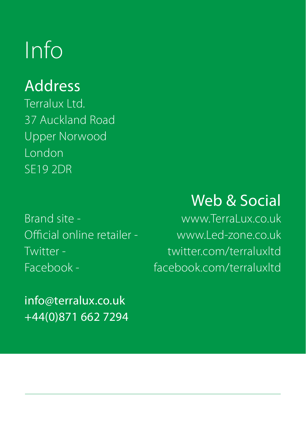## Info

#### Address

Terralux Ltd. 37 Auckland Road Upper Norwood London SE19 2DR

Brand site - www.TerraLux.co.uk

info@terralux.co.uk +44(0)871 662 7294

### Web & Social

Official online retailer - www.Led-zone.co.uk Twitter - twitter.com/terraluxltd Facebook - facebook.com/terraluxltd